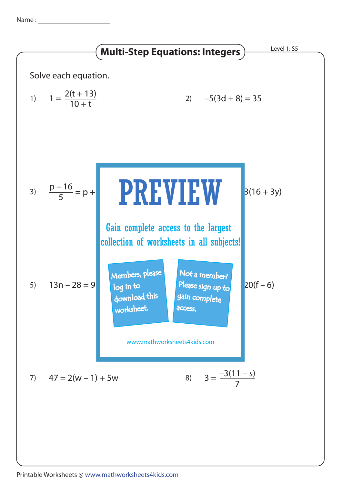